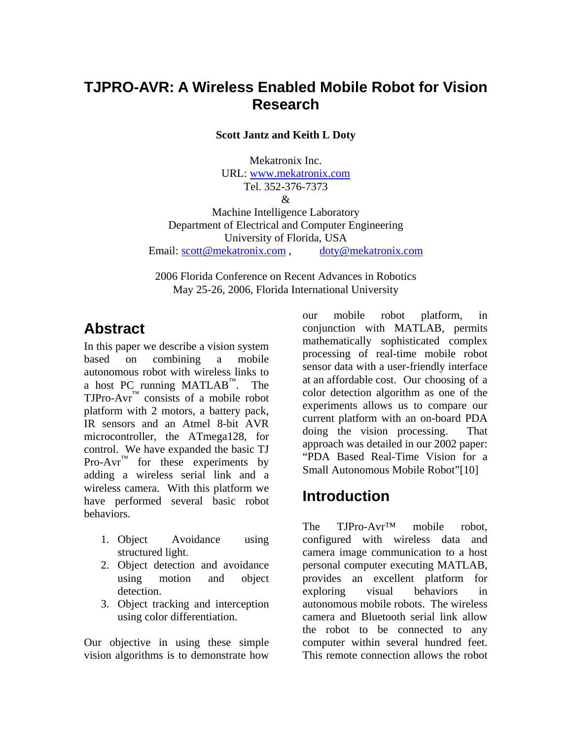# **TJPRO-AVR: A Wireless Enabled Mobile Robot for Vision Research**

**Scott Jantz and Keith L Doty** 

Mekatronix Inc. URL: www.mekatronix.com Tel. 352-376-7373 &

Machine Intelligence Laboratory Department of Electrical and Computer Engineering University of Florida, USA Email: scott@mekatronix.com , doty@mekatronix.com

2006 Florida Conference on Recent Advances in Robotics May 25-26, 2006, Florida International University

# **Abstract**

In this paper we describe a vision system based on combining a mobile autonomous robot with wireless links to a host PC running MATLAB™. The  $TJPro-Avr^{\mathbb{N}}$  consists of a mobile robot platform with 2 motors, a battery pack, IR sensors and an Atmel 8-bit AVR microcontroller, the ATmega128, for control. We have expanded the basic TJ Pro-Avr<sup>™</sup> for these experiments by adding a wireless serial link and a wireless camera. With this platform we have performed several basic robot behaviors.

- 1. Object Avoidance using structured light.
- 2. Object detection and avoidance using motion and object detection.
- 3. Object tracking and interception using color differentiation.

Our objective in using these simple vision algorithms is to demonstrate how

our mobile robot platform, in conjunction with MATLAB, permits mathematically sophisticated complex processing of real-time mobile robot sensor data with a user-friendly interface at an affordable cost. Our choosing of a color detection algorithm as one of the experiments allows us to compare our current platform with an on-board PDA doing the vision processing. That approach was detailed in our 2002 paper: "PDA Based Real-Time Vision for a Small Autonomous Mobile Robot"[10]

### **Introduction**

The TJPro-Avr<sup>™</sup> mobile robot, configured with wireless data and camera image communication to a host personal computer executing MATLAB, provides an excellent platform for exploring visual behaviors in autonomous mobile robots. The wireless camera and Bluetooth serial link allow the robot to be connected to any computer within several hundred feet. This remote connection allows the robot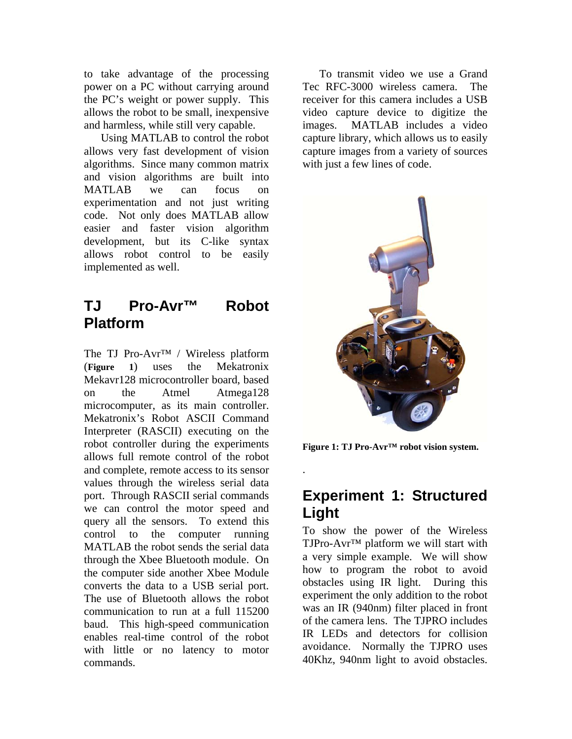to take advantage of the processing power on a PC without carrying around the PC's weight or power supply. This allows the robot to be small, inexpensive and harmless, while still very capable.

 Using MATLAB to control the robot allows very fast development of vision algorithms. Since many common matrix and vision algorithms are built into MATLAB we can focus on experimentation and not just writing code. Not only does MATLAB allow easier and faster vision algorithm development, but its C-like syntax allows robot control to be easily implemented as well.

## **TJ Pro-Avr™ Robot Platform**

The TJ Pro-Avr™ / Wireless platform (**Figure 1**) uses the Mekatronix Mekavr128 microcontroller board, based on the Atmel Atmega128 microcomputer, as its main controller. Mekatronix's Robot ASCII Command Interpreter (RASCII) executing on the robot controller during the experiments allows full remote control of the robot and complete, remote access to its sensor values through the wireless serial data port. Through RASCII serial commands we can control the motor speed and query all the sensors. To extend this control to the computer running MATLAB the robot sends the serial data through the Xbee Bluetooth module. On the computer side another Xbee Module converts the data to a USB serial port. The use of Bluetooth allows the robot communication to run at a full 115200 baud. This high-speed communication enables real-time control of the robot with little or no latency to motor commands.

 To transmit video we use a Grand Tec RFC-3000 wireless camera. The receiver for this camera includes a USB video capture device to digitize the images. MATLAB includes a video capture library, which allows us to easily capture images from a variety of sources with just a few lines of code.



**Figure 1: TJ Pro-Avr™ robot vision system.** 

.

## **Experiment 1: Structured Light**

To show the power of the Wireless TJPro-Avr™ platform we will start with a very simple example. We will show how to program the robot to avoid obstacles using IR light. During this experiment the only addition to the robot was an IR (940nm) filter placed in front of the camera lens. The TJPRO includes IR LEDs and detectors for collision avoidance. Normally the TJPRO uses 40Khz, 940nm light to avoid obstacles.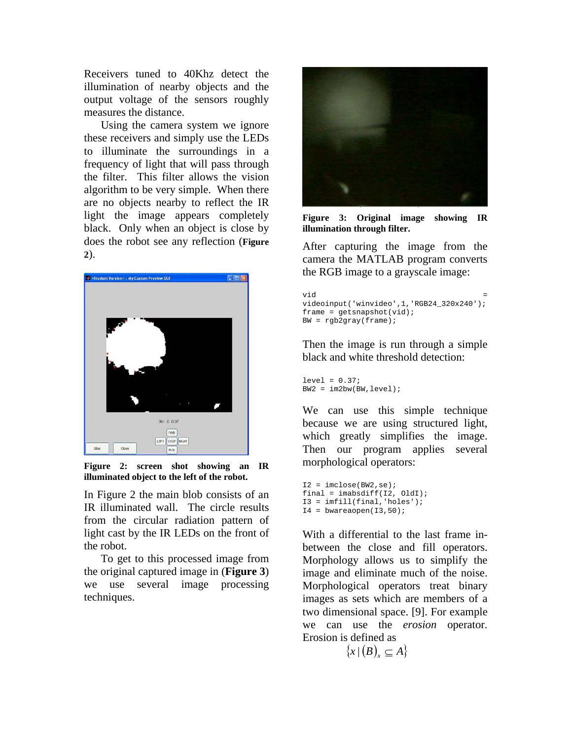Receivers tuned to 40Khz detect the illumination of nearby objects and the output voltage of the sensors roughly measures the distance.

 Using the camera system we ignore these receivers and simply use the LEDs to illuminate the surroundings in a frequency of light that will pass through the filter. This filter allows the vision algorithm to be very simple. When there are no objects nearby to reflect the IR light the image appears completely black. Only when an object is close by does the robot see any reflection (**Figure 2**).



**Figure 2: screen shot showing an IR illuminated object to the left of the robot.** 

In Figure 2 the main blob consists of an IR illuminated wall. The circle results from the circular radiation pattern of light cast by the IR LEDs on the front of the robot.

 To get to this processed image from the original captured image in (**Figure 3**) we use several image processing techniques.



**Figure 3: Original image showing IR illumination through filter.** 

After capturing the image from the camera the MATLAB program converts the RGB image to a grayscale image:

```
\mathbf{v}id \mathbf{v}videoinput('winvideo',1,'RGB24_320x240'); 
frame = get snapshot(vid);BW = rqb2qray(frame);
```
Then the image is run through a simple black and white threshold detection:

```
level = 0.37;
BW2 = im2bw(BW, level);
```
We can use this simple technique because we are using structured light, which greatly simplifies the image. Then our program applies several morphological operators:

```
I2 = imclose(BW2, se);final = imabsdiff(I2, OldI);
I3 = imfill(final, 'holes');
I4 = bwareaopen(I3,50);
```
With a differential to the last frame inbetween the close and fill operators. Morphology allows us to simplify the image and eliminate much of the noise. Morphological operators treat binary images as sets which are members of a two dimensional space. [9]. For example we can use the *erosion* operator. Erosion is defined as

```
{x | (B)_{x} \subseteq A}
```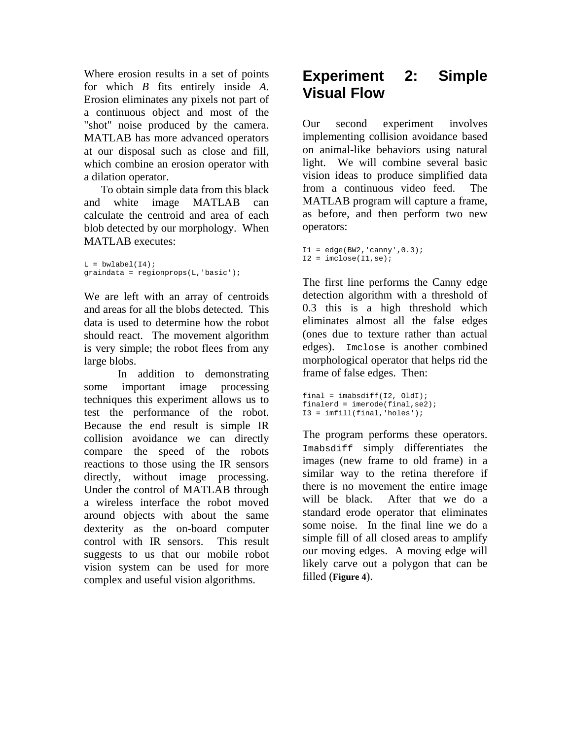Where erosion results in a set of points for which *B* fits entirely inside *A*. Erosion eliminates any pixels not part of a continuous object and most of the "shot" noise produced by the camera. MATLAB has more advanced operators at our disposal such as close and fill, which combine an erosion operator with a dilation operator.

 To obtain simple data from this black and white image MATLAB can calculate the centroid and area of each blob detected by our morphology. When MATLAB executes:

 $L = b$ wlabel(I4); graindata = regionprops(L,'basic');

We are left with an array of centroids and areas for all the blobs detected. This data is used to determine how the robot should react. The movement algorithm is very simple; the robot flees from any large blobs.

 In addition to demonstrating some important image processing techniques this experiment allows us to test the performance of the robot. Because the end result is simple IR collision avoidance we can directly compare the speed of the robots reactions to those using the IR sensors directly, without image processing. Under the control of MATLAB through a wireless interface the robot moved around objects with about the same dexterity as the on-board computer control with IR sensors. This result suggests to us that our mobile robot vision system can be used for more complex and useful vision algorithms.

# **Experiment 2: Simple Visual Flow**

Our second experiment involves implementing collision avoidance based on animal-like behaviors using natural light. We will combine several basic vision ideas to produce simplified data from a continuous video feed. The MATLAB program will capture a frame, as before, and then perform two new operators:

```
I1 = edge(BW2, 'canny', 0.3);I2 = imclose(II,se);
```
The first line performs the Canny edge detection algorithm with a threshold of 0.3 this is a high threshold which eliminates almost all the false edges (ones due to texture rather than actual edges). Imclose is another combined morphological operator that helps rid the frame of false edges. Then:

```
final = imabsdiff(I2, OldI);
finalerd = imerode(final, se2);I3 = imfill(final,'holes');
```
The program performs these operators. Imabsdiff simply differentiates the images (new frame to old frame) in a similar way to the retina therefore if there is no movement the entire image will be black. After that we do a standard erode operator that eliminates some noise. In the final line we do a simple fill of all closed areas to amplify our moving edges. A moving edge will likely carve out a polygon that can be filled (**Figure 4**).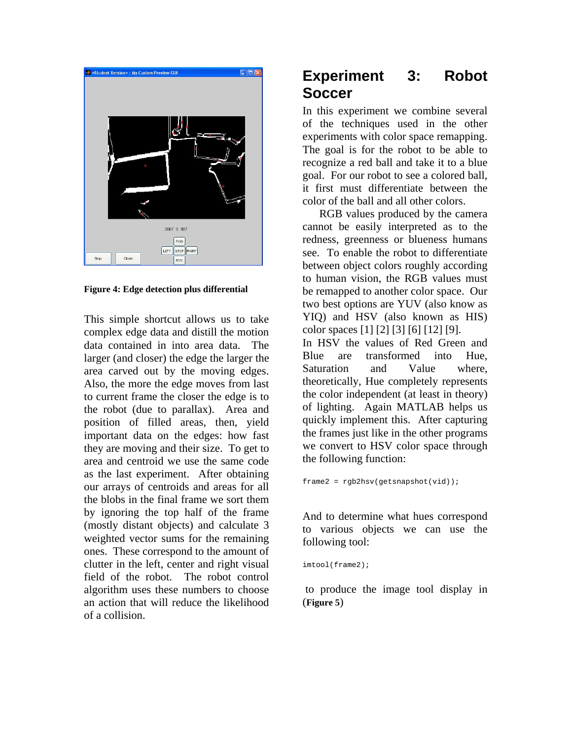

**Figure 4: Edge detection plus differential** 

This simple shortcut allows us to take complex edge data and distill the motion data contained in into area data. The larger (and closer) the edge the larger the area carved out by the moving edges. Also, the more the edge moves from last to current frame the closer the edge is to the robot (due to parallax). Area and position of filled areas, then, yield important data on the edges: how fast they are moving and their size. To get to area and centroid we use the same code as the last experiment. After obtaining our arrays of centroids and areas for all the blobs in the final frame we sort them by ignoring the top half of the frame (mostly distant objects) and calculate 3 weighted vector sums for the remaining ones. These correspond to the amount of clutter in the left, center and right visual field of the robot. The robot control algorithm uses these numbers to choose an action that will reduce the likelihood of a collision.

# **Experiment 3: Robot Soccer**

In this experiment we combine several of the techniques used in the other experiments with color space remapping. The goal is for the robot to be able to recognize a red ball and take it to a blue goal. For our robot to see a colored ball, it first must differentiate between the color of the ball and all other colors.

 RGB values produced by the camera cannot be easily interpreted as to the redness, greenness or blueness humans see. To enable the robot to differentiate between object colors roughly according to human vision, the RGB values must be remapped to another color space. Our two best options are YUV (also know as YIQ) and HSV (also known as HIS) color spaces [1] [2] [3] [6] [12] [9].

In HSV the values of Red Green and Blue are transformed into Hue, Saturation and Value where, theoretically, Hue completely represents the color independent (at least in theory) of lighting. Again MATLAB helps us quickly implement this. After capturing the frames just like in the other programs we convert to HSV color space through the following function:

frame2 = rgb2hsv(getsnapshot(vid));

And to determine what hues correspond to various objects we can use the following tool:

imtool(frame2);

 to produce the image tool display in (**Figure 5**)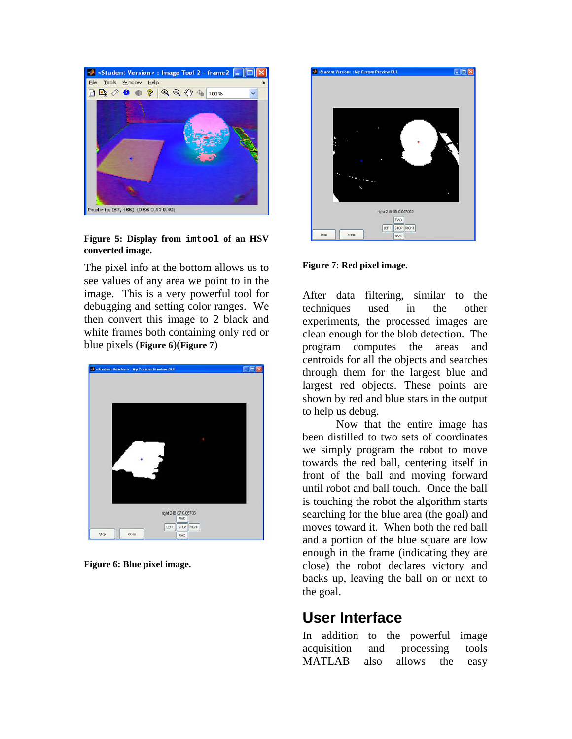

#### **Figure 5: Display from imtool of an HSV converted image.**

The pixel info at the bottom allows us to see values of any area we point to in the image. This is a very powerful tool for debugging and setting color ranges. We then convert this image to 2 black and white frames both containing only red or blue pixels (**Figure 6**)(**Figure 7**)



**Figure 6: Blue pixel image.** 



#### **Figure 7: Red pixel image.**

After data filtering, similar to the techniques used in the other experiments, the processed images are clean enough for the blob detection. The program computes the areas and centroids for all the objects and searches through them for the largest blue and largest red objects. These points are shown by red and blue stars in the output to help us debug.

 Now that the entire image has been distilled to two sets of coordinates we simply program the robot to move towards the red ball, centering itself in front of the ball and moving forward until robot and ball touch. Once the ball is touching the robot the algorithm starts searching for the blue area (the goal) and moves toward it. When both the red ball and a portion of the blue square are low enough in the frame (indicating they are close) the robot declares victory and backs up, leaving the ball on or next to the goal.

### **User Interface**

In addition to the powerful image acquisition and processing tools MATLAB also allows the easy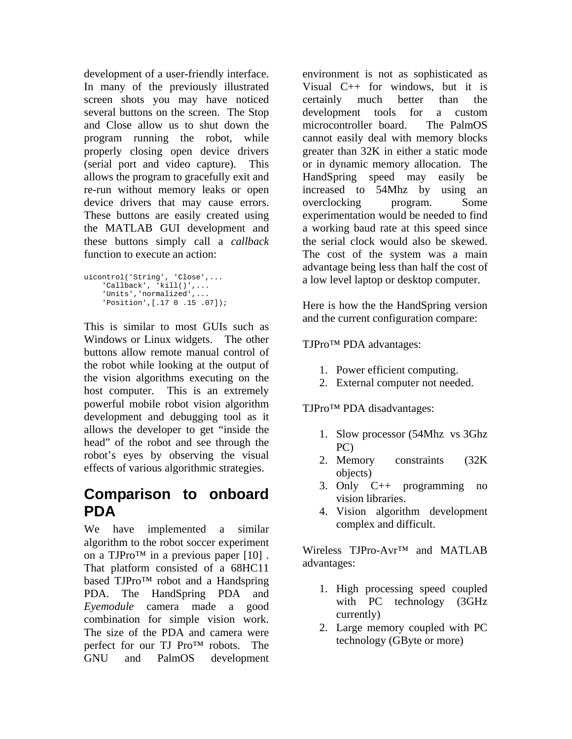development of a user-friendly interface. In many of the previously illustrated screen shots you may have noticed several buttons on the screen. The Stop and Close allow us to shut down the program running the robot, while properly closing open device drivers (serial port and video capture). This allows the program to gracefully exit and re-run without memory leaks or open device drivers that may cause errors. These buttons are easily created using the MATLAB GUI development and these buttons simply call a *callback* function to execute an action:

```
uicontrol('String', 'Close',... 
     'Callback', 'kill()',... 
     'Units','normalized',... 
     'Position',[.17 0 .15 .07]);
```
This is similar to most GUIs such as Windows or Linux widgets. The other buttons allow remote manual control of the robot while looking at the output of the vision algorithms executing on the host computer. This is an extremely powerful mobile robot vision algorithm development and debugging tool as it allows the developer to get "inside the head" of the robot and see through the robot's eyes by observing the visual effects of various algorithmic strategies.

### **Comparison to onboard PDA**

We have implemented a similar algorithm to the robot soccer experiment on a TJPro<sup>TM</sup> in a previous paper  $[10]$ . That platform consisted of a 68HC11 based TJPro™ robot and a Handspring PDA. The HandSpring PDA and *Eyemodule* camera made a good combination for simple vision work. The size of the PDA and camera were perfect for our TJ Pro™ robots. The GNU and PalmOS development environment is not as sophisticated as Visual C++ for windows, but it is certainly much better than the development tools for a custom microcontroller board. The PalmOS cannot easily deal with memory blocks greater than 32K in either a static mode or in dynamic memory allocation. The HandSpring speed may easily be increased to 54Mhz by using an overclocking program. Some experimentation would be needed to find a working baud rate at this speed since the serial clock would also be skewed. The cost of the system was a main advantage being less than half the cost of a low level laptop or desktop computer.

Here is how the the HandSpring version and the current configuration compare:

TJPro™ PDA advantages:

- 1. Power efficient computing.
- 2. External computer not needed.

TJPro™ PDA disadvantages:

- 1. Slow processor (54Mhz vs 3Ghz PC)
- 2. Memory constraints (32K objects)
- 3. Only C++ programming no vision libraries.
- 4. Vision algorithm development complex and difficult.

Wireless TJPro-Avr™ and MATLAB advantages:

- 1. High processing speed coupled with PC technology (3GHz currently)
- 2. Large memory coupled with PC technology (GByte or more)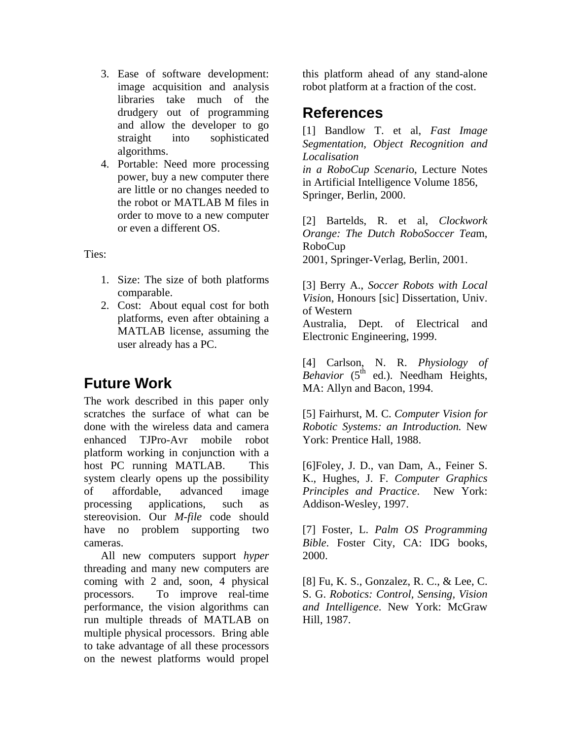- 3. Ease of software development: image acquisition and analysis libraries take much of the drudgery out of programming and allow the developer to go straight into sophisticated algorithms.
- 4. Portable: Need more processing power, buy a new computer there are little or no changes needed to the robot or MATLAB M files in order to move to a new computer or even a different OS.

Ties:

- 1. Size: The size of both platforms comparable.
- 2. Cost: About equal cost for both platforms, even after obtaining a MATLAB license, assuming the user already has a PC.

# **Future Work**

The work described in this paper only scratches the surface of what can be done with the wireless data and camera enhanced TJPro-Avr mobile robot platform working in conjunction with a host PC running MATLAB. This system clearly opens up the possibility of affordable, advanced image processing applications, such as stereovision. Our *M-file* code should have no problem supporting two cameras.

 All new computers support *hyper* threading and many new computers are coming with 2 and, soon, 4 physical processors. To improve real-time performance, the vision algorithms can run multiple threads of MATLAB on multiple physical processors. Bring able to take advantage of all these processors on the newest platforms would propel

this platform ahead of any stand-alone robot platform at a fraction of the cost.

### **References**

[1] Bandlow T. et al, *Fast Image Segmentation, Object Recognition and Localisation in a RoboCup Scenari*o, Lecture Notes in Artificial Intelligence Volume 1856, Springer, Berlin, 2000.

[2] Bartelds, R. et al, *Clockwork Orange: The Dutch RoboSoccer Tea*m, RoboCup 2001, Springer-Verlag, Berlin, 2001.

[3] Berry A., *Soccer Robots with Local Visio*n, Honours [sic] Dissertation, Univ. of Western Australia, Dept. of Electrical and Electronic Engineering, 1999.

[4] Carlson, N. R. *Physiology of Behavior* (5<sup>th</sup> ed.). Needham Heights, MA: Allyn and Bacon, 1994.

[5] Fairhurst, M. C. *Computer Vision for Robotic Systems: an Introduction.* New York: Prentice Hall, 1988.

[6]Foley, J. D., van Dam, A., Feiner S. K., Hughes, J. F. *Computer Graphics Principles and Practice*. New York: Addison-Wesley, 1997.

[7] Foster, L. *Palm OS Programming Bible*. Foster City, CA: IDG books, 2000.

[8] Fu, K. S., Gonzalez, R. C., & Lee, C. S. G. *Robotics: Control, Sensing, Vision and Intelligence*. New York: McGraw Hill, 1987.